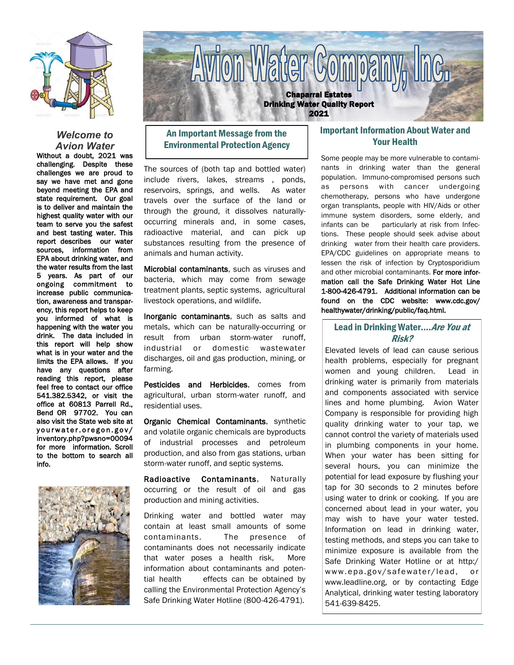

## *Welcome to Avion Water*

Without a doubt, 2021 was challenging. Despite these challenges we are proud to say we have met and gone beyond meeting the EPA and state requirement. Our goal is to deliver and maintain the highest quality water with our team to serve you the safest and best tasting water. This report describes our water sources, information from EPA about drinking water, and the water results from the last 5 years. As part of our ongoing commitment to increase public communication, awareness and transparency, this report helps to keep you informed of what is happening with the water you drink. The data included in this report will help show what is in your water and the limits the EPA allows. If you have any questions after reading this report, please feel free to contact our office 541.382.5342, or visit the office at 60813 Parrell Rd., Bend OR 97702. You can also visit the State web site at yourwater.oregon.gov/ inventory.php?pwsno=00094 for more information. Scroll to the bottom to search all info.





# An Important Message from the Environmental Protection Agency

The sources of (both tap and bottled water) include rivers, lakes, streams , ponds, reservoirs, springs, and wells. As water travels over the surface of the land or through the ground, it dissolves naturallyoccurring minerals and, in some cases, radioactive material, and can pick up substances resulting from the presence of animals and human activity.

Microbial contaminants, such as viruses and bacteria, which may come from sewage treatment plants, septic systems, agricultural livestock operations, and wildlife.

Inorganic contaminants, such as salts and metals, which can be naturally-occurring or result from urban storm-water runoff, industrial or domestic wastewater discharges, oil and gas production, mining, or farming.

Pesticides and Herbicides, comes from agricultural, urban storm-water runoff, and residential uses.

Organic Chemical Contaminants, synthetic and volatile organic chemicals are byproducts of industrial processes and petroleum production, and also from gas stations, urban storm-water runoff, and septic systems.

Radioactive Contaminants, Naturally occurring or the result of oil and gas production and mining activities.

Drinking water and bottled water may contain at least small amounts of some contaminants. The presence of contaminants does not necessarily indicate that water poses a health risk, More information about contaminants and potential health effects can be obtained by calling the Environmental Protection Agency's Safe Drinking Water Hotline (800-426-4791).

# Important Information About Water and Your Health

Some people may be more vulnerable to contaminants in drinking water than the general population. Immuno-compromised persons such as persons with cancer undergoing chemotherapy, persons who have undergone organ transplants, people with HIV/Aids or other immune system disorders, some elderly, and infants can be particularly at risk from Infections. These people should seek advise about drinking water from their health care providers. EPA/CDC guidelines on appropriate means to lessen the risk of infection by Cryptosporidium and other microbial contaminants. For more information call the Safe Drinking Water Hot Line 1-800-426-4791. Additional information can be found on the CDC website: www.cdc.gov/ healthywater/drinking/public/faq.html.

## Lead in Drinking Water.... Are You at Risk?

Elevated levels of lead can cause serious health problems, especially for pregnant women and young children. Lead in drinking water is primarily from materials and components associated with service lines and home plumbing. Avion Water Company is responsible for providing high quality drinking water to your tap, we cannot control the variety of materials used in plumbing components in your home. When your water has been sitting for several hours, you can minimize the potential for lead exposure by flushing your tap for 30 seconds to 2 minutes before using water to drink or cooking. If you are concerned about lead in your water, you may wish to have your water tested. Information on lead in drinking water, testing methods, and steps you can take to minimize exposure is available from the Safe Drinking Water Hotline or at http:/ www.epa.gov/safewater/lead, or www.leadline.org, or by contacting Edge Analytical, drinking water testing laboratory 541-639-8425.